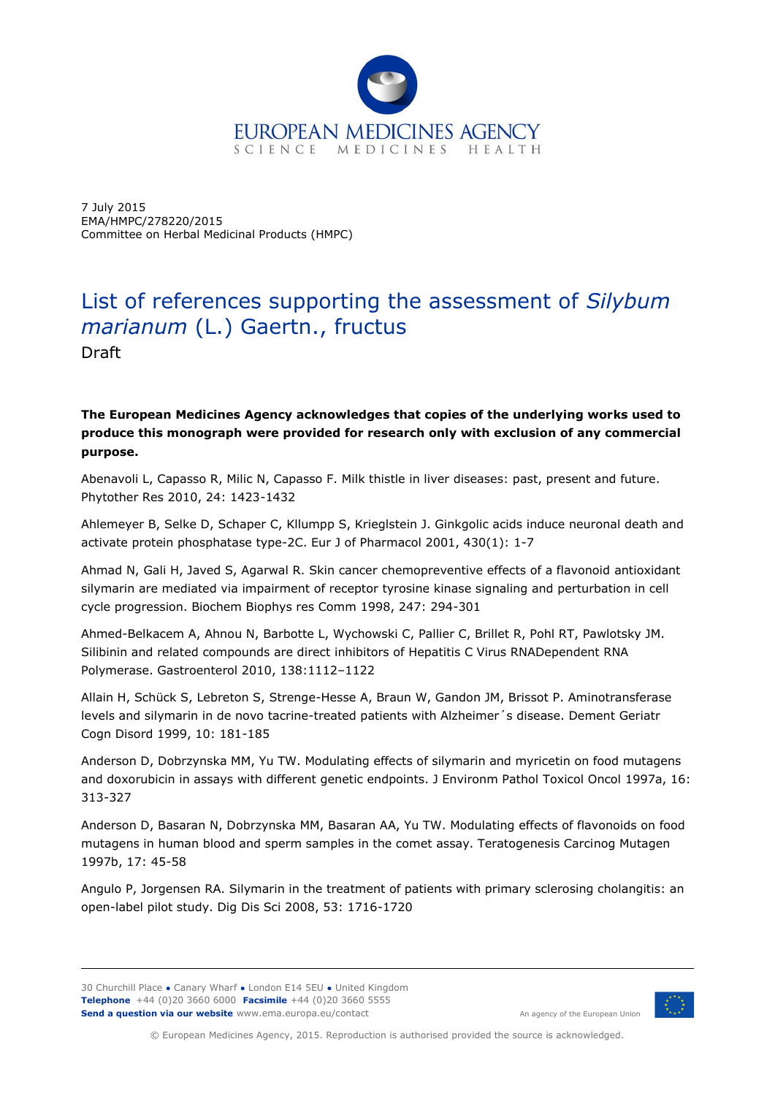

7 July 2015 EMA/HMPC/278220/2015 Committee on Herbal Medicinal Products (HMPC)

## List of references supporting the assessment of *Silybum marianum* (L.) Gaertn., fructus

Draft

## **The European Medicines Agency acknowledges that copies of the underlying works used to produce this monograph were provided for research only with exclusion of any commercial purpose.**

Abenavoli L, Capasso R, Milic N, Capasso F. Milk thistle in liver diseases: past, present and future. Phytother Res 2010, 24: 1423-1432

Ahlemeyer B, Selke D, Schaper C, Kllumpp S, Krieglstein J. Ginkgolic acids induce neuronal death and activate protein phosphatase type-2C. Eur J of Pharmacol 2001, 430(1): 1-7

Ahmad N, Gali H, Javed S, Agarwal R. Skin cancer chemopreventive effects of a flavonoid antioxidant silymarin are mediated via impairment of receptor tyrosine kinase signaling and perturbation in cell cycle progression. Biochem Biophys res Comm 1998, 247: 294-301

Ahmed-Belkacem A, Ahnou N, Barbotte L, Wychowski C, Pallier C, Brillet R, Pohl RT, Pawlotsky JM. Silibinin and related compounds are direct inhibitors of Hepatitis C Virus RNADependent RNA Polymerase. Gastroenterol 2010, 138:1112–1122

Allain H, Schück S, Lebreton S, Strenge-Hesse A, Braun W, Gandon JM, Brissot P. Aminotransferase levels and silymarin in de novo tacrine-treated patients with Alzheimer´s disease. Dement Geriatr Cogn Disord 1999, 10: 181-185

Anderson D, Dobrzynska MM, Yu TW. Modulating effects of silymarin and myricetin on food mutagens and doxorubicin in assays with different genetic endpoints. J Environm Pathol Toxicol Oncol 1997a, 16: 313-327

Anderson D, Basaran N, Dobrzynska MM, Basaran AA, Yu TW. Modulating effects of flavonoids on food mutagens in human blood and sperm samples in the comet assay. Teratogenesis Carcinog Mutagen 1997b, 17: 45-58

Angulo P, Jorgensen RA. Silymarin in the treatment of patients with primary sclerosing cholangitis: an open-label pilot study. Dig Dis Sci 2008, 53: 1716-1720



An agency of the European Union

© European Medicines Agency, 2015. Reproduction is authorised provided the source is acknowledged.

<sup>30</sup> Churchill Place **●** Canary Wharf **●** London E14 5EU **●** United Kingdom **Telephone** +44 (0)20 3660 6000 **Facsimile** +44 (0)20 3660 5555 **Send a question via our website** www.ema.europa.eu/contact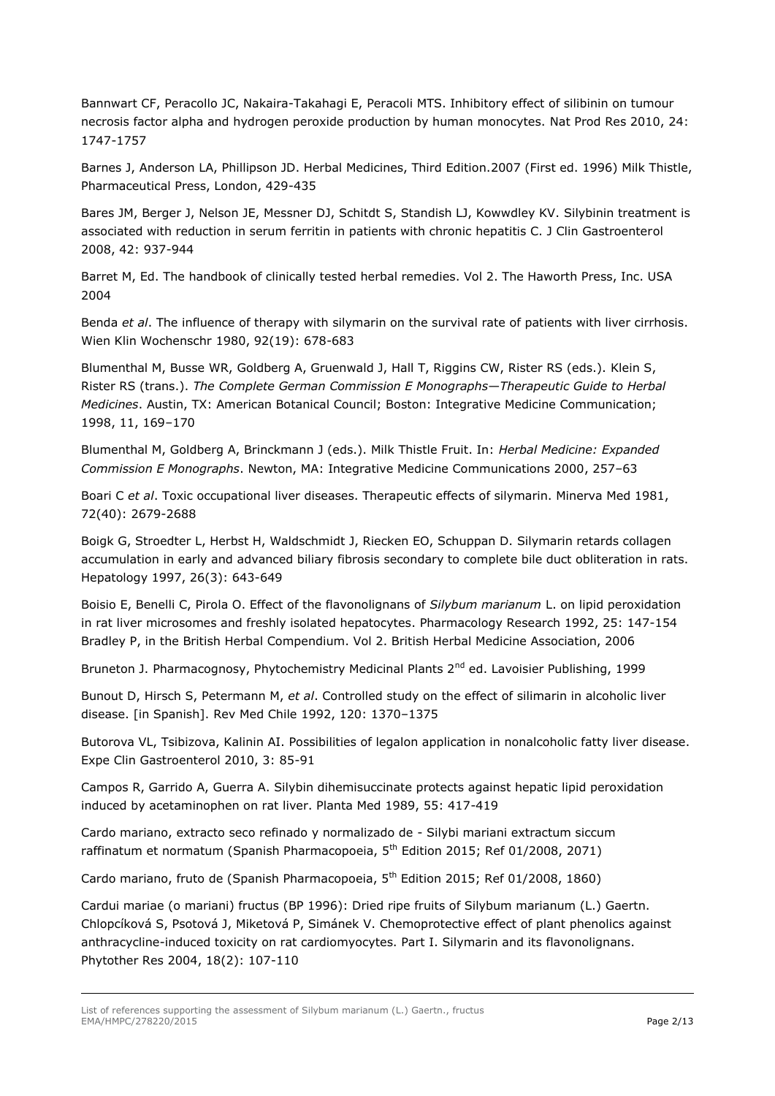Bannwart CF, Peracollo JC, Nakaira-Takahagi E, Peracoli MTS. Inhibitory effect of silibinin on tumour necrosis factor alpha and hydrogen peroxide production by human monocytes. Nat Prod Res 2010, 24: 1747-1757

Barnes J, Anderson LA, Phillipson JD. Herbal Medicines, Third Edition.2007 (First ed. 1996) Milk Thistle, Pharmaceutical Press, London, 429-435

Bares JM, Berger J, Nelson JE, Messner DJ, Schitdt S, Standish LJ, Kowwdley KV. Silybinin treatment is associated with reduction in serum ferritin in patients with chronic hepatitis C. J Clin Gastroenterol 2008, 42: 937-944

Barret M, Ed. The handbook of clinically tested herbal remedies. Vol 2. The Haworth Press, Inc. USA 2004

Benda *et al*. The influence of therapy with silymarin on the survival rate of patients with liver cirrhosis. Wien Klin Wochenschr 1980, 92(19): 678-683

Blumenthal M, Busse WR, Goldberg A, Gruenwald J, Hall T, Riggins CW, Rister RS (eds.). Klein S, Rister RS (trans.). *The Complete German Commission E Monographs*—*Therapeutic Guide to Herbal Medicines*. Austin, TX: American Botanical Council; Boston: Integrative Medicine Communication; 1998, 11, 169*–*170

Blumenthal M, Goldberg A, Brinckmann J (eds.). Milk Thistle Fruit. In: *Herbal Medicine: Expanded Commission E Monographs*. Newton, MA: Integrative Medicine Communications 2000, 257*–*63

Boari C *et al*. Toxic occupational liver diseases. Therapeutic effects of silymarin. Minerva Med 1981, 72(40): 2679-2688

Boigk G, Stroedter L, Herbst H, Waldschmidt J, Riecken EO, Schuppan D. Silymarin retards collagen accumulation in early and advanced biliary fibrosis secondary to complete bile duct obliteration in rats. Hepatology 1997, 26(3): 643-649

Boisio E, Benelli C, Pirola O. Effect of the flavonolignans of *Silybum marianum* L. on lipid peroxidation in rat liver microsomes and freshly isolated hepatocytes. Pharmacology Research 1992, 25: 147-154 Bradley P, in the British Herbal Compendium. Vol 2. British Herbal Medicine Association, 2006

Bruneton J. Pharmacognosy, Phytochemistry Medicinal Plants 2<sup>nd</sup> ed. Lavoisier Publishing, 1999

Bunout D, Hirsch S, Petermann M, *et al*. Controlled study on the effect of silimarin in alcoholic liver disease. [in Spanish]. Rev Med Chile 1992, 120: 1370*–*1375

Butorova VL, Tsibizova, Kalinin AI. Possibilities of legalon application in nonalcoholic fatty liver disease. Expe Clin Gastroenterol 2010, 3: 85-91

Campos R, Garrido A, Guerra A. Silybin dihemisuccinate protects against hepatic lipid peroxidation induced by acetaminophen on rat liver. Planta Med 1989, 55: 417-419

Cardo mariano, extracto seco refinado y normalizado de - Silybi mariani extractum siccum raffinatum et normatum (Spanish Pharmacopoeia, 5<sup>th</sup> Edition 2015; Ref 01/2008, 2071)

Cardo mariano, fruto de (Spanish Pharmacopoeia, 5<sup>th</sup> Edition 2015; Ref 01/2008, 1860)

Cardui mariae (o mariani) fructus (BP 1996): Dried ripe fruits of Silybum marianum (L.) Gaertn. [Chlopcíková S,](http://www.ncbi.nlm.nih.gov/pubmed/?term=Chlopc%C3%ADkov%C3%A1%20S%5BAuthor%5D&cauthor=true&cauthor_uid=15022159) [Psotová J,](http://www.ncbi.nlm.nih.gov/pubmed/?term=Psotov%C3%A1%20J%5BAuthor%5D&cauthor=true&cauthor_uid=15022159) [Miketová P,](http://www.ncbi.nlm.nih.gov/pubmed/?term=Miketov%C3%A1%20P%5BAuthor%5D&cauthor=true&cauthor_uid=15022159) [Simánek V.](http://www.ncbi.nlm.nih.gov/pubmed/?term=Sim%C3%A1nek%20V%5BAuthor%5D&cauthor=true&cauthor_uid=15022159) Chemoprotective effect of plant phenolics against anthracycline-induced toxicity on rat cardiomyocytes. Part I. Silymarin and its flavonolignans. [Phytother Res](http://www.ncbi.nlm.nih.gov/pubmed/15022159) 2004, 18(2): 107-110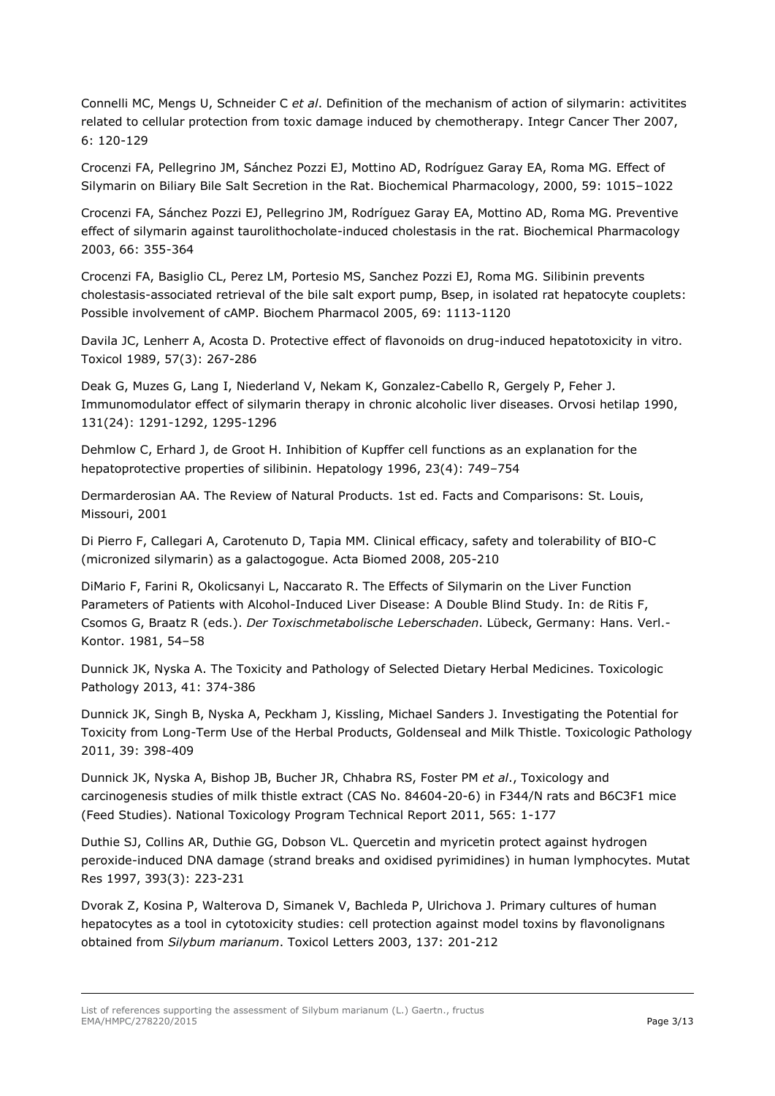Connelli MC, Mengs U, Schneider C *et al*. Definition of the mechanism of action of silymarin: activitites related to cellular protection from toxic damage induced by chemotherapy. Integr Cancer Ther 2007, 6: 120-129

Crocenzi FA, Pellegrino JM, Sánchez Pozzi EJ, Mottino AD, Rodríguez Garay EA, Roma MG. Effect of Silymarin on Biliary Bile Salt Secretion in the Rat. Biochemical Pharmacology, 2000, 59: 1015–1022

Crocenzi FA, Sánchez Pozzi EJ, Pellegrino JM, Rodríguez Garay EA, Mottino AD, Roma MG. Preventive effect of silymarin against taurolithocholate-induced cholestasis in the rat. Biochemical Pharmacology 2003, 66: 355-364

Crocenzi FA, Basiglio CL, Perez LM, Portesio MS, Sanchez Pozzi EJ, Roma MG. Silibinin prevents cholestasis-associated retrieval of the bile salt export pump, Bsep, in isolated rat hepatocyte couplets: Possible involvement of cAMP. Biochem Pharmacol 2005, 69: 1113-1120

[Davila JC,](http://www.ncbi.nlm.nih.gov/pubmed/?term=Davila%20JC%5BAuthor%5D&cauthor=true&cauthor_uid=2756528) [Lenherr A,](http://www.ncbi.nlm.nih.gov/pubmed/?term=Lenherr%20A%5BAuthor%5D&cauthor=true&cauthor_uid=2756528) [Acosta D.](http://www.ncbi.nlm.nih.gov/pubmed/?term=Acosta%20D%5BAuthor%5D&cauthor=true&cauthor_uid=2756528) Protective effect of flavonoids on drug-induced hepatotoxicity in vitro. [Toxicol](http://www.ncbi.nlm.nih.gov/pubmed/2756528) 1989, 57(3): 267-286

[Deak G,](http://apps.webofknowledge.com/OneClickSearch.do?product=UA&search_mode=OneClickSearch&excludeEventConfig=ExcludeIfFromFullRecPage&SID=V2zVfc7FUaEegEMZiLP&field=AU&value=Deak%2C+G) [Muzes G,](http://apps.webofknowledge.com/OneClickSearch.do?product=UA&search_mode=OneClickSearch&excludeEventConfig=ExcludeIfFromFullRecPage&SID=V2zVfc7FUaEegEMZiLP&field=AU&value=Muzes%2C+G) [Lang I,](http://apps.webofknowledge.com/OneClickSearch.do?product=UA&search_mode=OneClickSearch&excludeEventConfig=ExcludeIfFromFullRecPage&SID=V2zVfc7FUaEegEMZiLP&field=AU&value=Lang%2C+I) [Niederland V,](http://apps.webofknowledge.com/OneClickSearch.do?product=UA&search_mode=OneClickSearch&excludeEventConfig=ExcludeIfFromFullRecPage&SID=V2zVfc7FUaEegEMZiLP&field=AU&value=Niederland%2C+V) [Nekam K,](http://apps.webofknowledge.com/OneClickSearch.do?product=UA&search_mode=OneClickSearch&excludeEventConfig=ExcludeIfFromFullRecPage&SID=V2zVfc7FUaEegEMZiLP&field=AU&value=Nekam%2C+K) [Gonzalez-Cabello R,](http://apps.webofknowledge.com/OneClickSearch.do?product=UA&search_mode=OneClickSearch&excludeEventConfig=ExcludeIfFromFullRecPage&SID=V2zVfc7FUaEegEMZiLP&field=AU&value=Gonzalez-Cabello%2C+R) [Gergely P,](http://apps.webofknowledge.com/OneClickSearch.do?product=UA&search_mode=OneClickSearch&excludeEventConfig=ExcludeIfFromFullRecPage&SID=V2zVfc7FUaEegEMZiLP&field=AU&value=Gergely%2C+P) [Feher J.](http://apps.webofknowledge.com/OneClickSearch.do?product=UA&search_mode=OneClickSearch&excludeEventConfig=ExcludeIfFromFullRecPage&SID=V2zVfc7FUaEegEMZiLP&field=AU&value=Feher%2C+J) Immunomodulator effect of silymarin therapy in chronic alcoholic liver diseases. Orvosi hetilap 1990, 131(24): 1291-1292, 1295-1296

Dehmlow C, Erhard J, de Groot H. Inhibition of Kupffer cell functions as an explanation for the hepatoprotective properties of silibinin. Hepatology 1996, 23(4): 749*–*754

Dermarderosian AA. The Review of Natural Products. 1st ed. Facts and Comparisons: St. Louis, Missouri, 2001

Di Pierro F, Callegari A, Carotenuto D, Tapia MM. Clinical efficacy, safety and tolerability of BIO-C (micronized silymarin) as a galactogogue. Acta Biomed 2008, 205-210

DiMario F, Farini R, Okolicsanyi L, Naccarato R. The Effects of Silymarin on the Liver Function Parameters of Patients with Alcohol-Induced Liver Disease: A Double Blind Study. In: de Ritis F, Csomos G, Braatz R (eds.). *Der Toxischmetabolische Leberschaden*. Lübeck, Germany: Hans. Verl.- Kontor. 1981, 54–58

Dunnick JK, Nyska A. The Toxicity and Pathology of Selected Dietary Herbal Medicines. Toxicologic Pathology 2013, 41: 374-386

Dunnick JK, Singh B, Nyska A, Peckham J, Kissling, Michael Sanders J. Investigating the Potential for Toxicity from Long-Term Use of the Herbal Products, Goldenseal and Milk Thistle. Toxicologic Pathology 2011, 39: 398-409

Dunnick JK, Nyska A, Bishop JB, Bucher JR, Chhabra RS, Foster PM *et al*., Toxicology and carcinogenesis studies of milk thistle extract (CAS No. 84604-20-6) in F344/N rats and B6C3F1 mice (Feed Studies). National Toxicology Program Technical Report 2011, 565: 1-177

[Duthie SJ,](http://www.ncbi.nlm.nih.gov/pubmed/?term=Duthie%20SJ%5BAuthor%5D&cauthor=true&cauthor_uid=9393615) [Collins AR,](http://www.ncbi.nlm.nih.gov/pubmed/?term=Collins%20AR%5BAuthor%5D&cauthor=true&cauthor_uid=9393615) [Duthie GG,](http://www.ncbi.nlm.nih.gov/pubmed/?term=Duthie%20GG%5BAuthor%5D&cauthor=true&cauthor_uid=9393615) Dobson VL. Quercetin and myricetin protect against hydrogen peroxide-induced DNA damage (strand breaks and oxidised pyrimidines) in human lymphocytes. [Mutat](http://www.ncbi.nlm.nih.gov/pubmed/9393615)  [Res 1](http://www.ncbi.nlm.nih.gov/pubmed/9393615)997, 393(3): 223-231

Dvorak Z, Kosina P, Walterova D, Simanek V, Bachleda P, Ulrichova J. Primary cultures of human hepatocytes as a tool in cytotoxicity studies: cell protection against model toxins by flavonolignans obtained from *Silybum marianum*. Toxicol Letters 2003, 137: 201-212

List of references supporting the assessment of Silybum marianum (L.) Gaertn., fructus EMA/HMPC/278220/2015 Page 3/13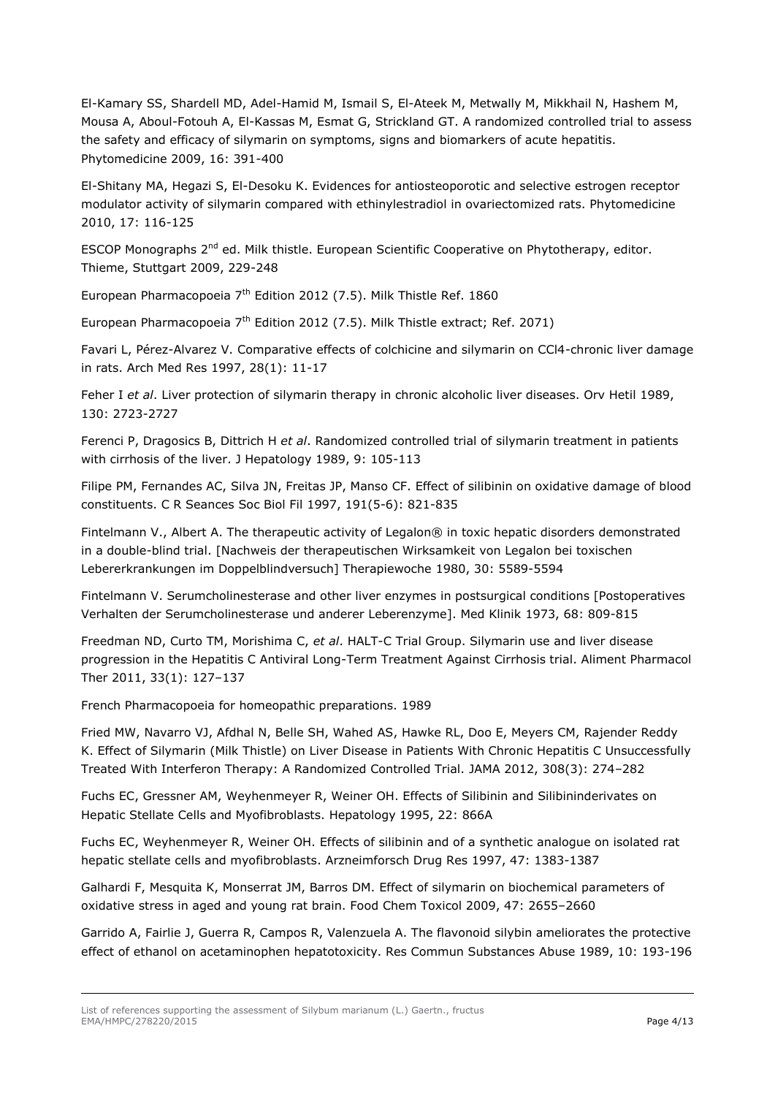El-Kamary SS, Shardell MD, Adel-Hamid M, Ismail S, El-Ateek M, Metwally M, Mikkhail N, Hashem M, Mousa A, Aboul-Fotouh A, El-Kassas M, Esmat G, Strickland GT. A randomized controlled trial to assess the safety and efficacy of silymarin on symptoms, signs and biomarkers of acute hepatitis. Phytomedicine 2009, 16: 391-400

El-Shitany MA, Hegazi S, El-Desoku K. Evidences for antiosteoporotic and selective estrogen receptor modulator activity of silymarin compared with ethinylestradiol in ovariectomized rats. Phytomedicine 2010, 17: 116-125

ESCOP Monographs 2<sup>nd</sup> ed. Milk thistle. European Scientific Cooperative on Phytotherapy, editor. Thieme, Stuttgart 2009, 229-248

European Pharmacopoeia 7<sup>th</sup> Edition 2012 (7.5). Milk Thistle Ref. 1860

European Pharmacopoeia 7<sup>th</sup> Edition 2012 (7.5). Milk Thistle extract; Ref. 2071)

[Favari L,](http://www.ncbi.nlm.nih.gov/pubmed/?term=Favari%20L%5BAuthor%5D&cauthor=true&cauthor_uid=9078581) [Pérez-Alvarez V.](http://www.ncbi.nlm.nih.gov/pubmed/?term=P%C3%A9rez-Alvarez%20V%5BAuthor%5D&cauthor=true&cauthor_uid=9078581) Comparative effects of colchicine and silymarin on CCl4-chronic liver damage in rats. [Arch Med Res](http://www.ncbi.nlm.nih.gov/pubmed/9078581) 1997, 28(1): 11-17

Feher I *et al*. Liver protection of silymarin therapy in chronic alcoholic liver diseases. Orv Hetil 1989, 130: 2723-2727

Ferenci P, Dragosics B, Dittrich H *et al*. Randomized controlled trial of silymarin treatment in patients with cirrhosis of the liver. J Hepatology 1989, 9: 105-113

[Filipe PM,](http://www.ncbi.nlm.nih.gov/pubmed/?term=Filipe%20PM%5BAuthor%5D&cauthor=true&cauthor_uid=9587488) [Fernandes AC,](http://www.ncbi.nlm.nih.gov/pubmed/?term=Fernandes%20AC%5BAuthor%5D&cauthor=true&cauthor_uid=9587488) [Silva JN,](http://www.ncbi.nlm.nih.gov/pubmed/?term=Silva%20JN%5BAuthor%5D&cauthor=true&cauthor_uid=9587488) [Freitas JP,](http://www.ncbi.nlm.nih.gov/pubmed/?term=Freitas%20JP%5BAuthor%5D&cauthor=true&cauthor_uid=9587488) [Manso CF.](http://www.ncbi.nlm.nih.gov/pubmed/?term=Manso%20CF%5BAuthor%5D&cauthor=true&cauthor_uid=9587488) Effect of silibinin on oxidative damage of blood constituents. C R Seances Soc Biol Fil 1997, 191(5-6): 821-835

Fintelmann V., Albert A. The therapeutic activity of Legalon® in toxic hepatic disorders demonstrated in a double-blind trial. [Nachweis der therapeutischen Wirksamkeit von Legalon bei toxischen Lebererkrankungen im Doppelblindversuch] Therapiewoche 1980, 30: 5589-5594

Fintelmann V. Serumcholinesterase and other liver enzymes in postsurgical conditions [Postoperatives Verhalten der Serumcholinesterase und anderer Leberenzyme]. Med Klinik 1973, 68: 809-815

Freedman ND, Curto TM, Morishima C, *et al*. HALT-C Trial Group. Silymarin use and liver disease progression in the Hepatitis C Antiviral Long-Term Treatment Against Cirrhosis trial. Aliment Pharmacol Ther 2011, 33(1): 127–137

French Pharmacopoeia for homeopathic preparations. 1989

Fried MW, Navarro VJ, Afdhal N, Belle SH, Wahed AS, Hawke RL, Doo E, Meyers CM, Rajender Reddy K. Effect of Silymarin (Milk Thistle) on Liver Disease in Patients With Chronic Hepatitis C Unsuccessfully Treated With Interferon Therapy: A Randomized Controlled Trial. JAMA 2012, 308(3): 274–282

Fuchs EC, Gressner AM, Weyhenmeyer R, Weiner OH. Effects of Silibinin and Silibininderivates on Hepatic Stellate Cells and Myofibroblasts. Hepatology 1995, 22: 866A

Fuchs EC, Weyhenmeyer R, Weiner OH. Effects of silibinin and of a synthetic analogue on isolated rat hepatic stellate cells and myofibroblasts. Arzneimforsch Drug Res 1997, 47: 1383-1387

Galhardi F, Mesquita K, Monserrat JM, Barros DM. Effect of silymarin on biochemical parameters of oxidative stress in aged and young rat brain. Food Chem Toxicol 2009, 47: 2655–2660

Garrido A, Fairlie J, Guerra R, Campos R, Valenzuela A. The flavonoid silybin ameliorates the protective effect of ethanol on acetaminophen hepatotoxicity. Res Commun Substances Abuse 1989, 10: 193-196

List of references supporting the assessment of Silybum marianum (L.) Gaertn., fructus EMA/HMPC/278220/2015 Page 4/13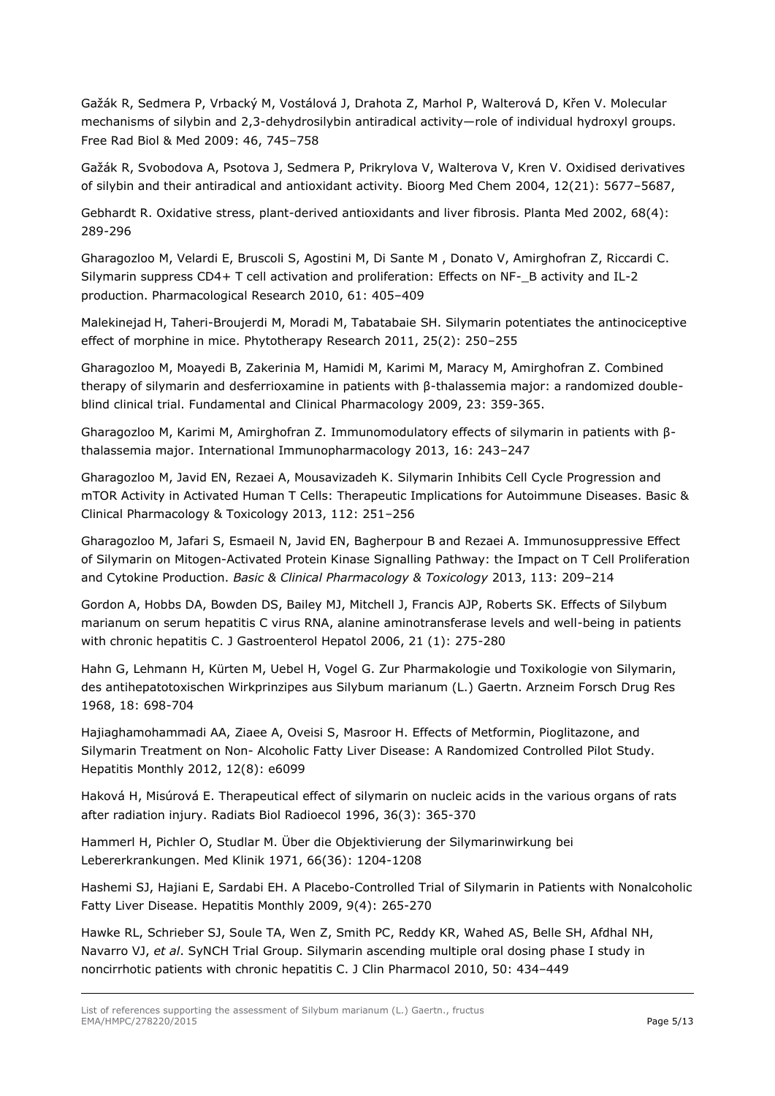Gažák R, Sedmera P, Vrbacký M, Vostálová J, Drahota Z, Marhol P, Walterová D, Křen V. Molecular mechanisms of silybin and 2,3-dehydrosilybin antiradical activity—role of individual hydroxyl groups. Free Rad Biol & Med 2009: 46, 745–758

Gažák R, Svobodova A, Psotova J, Sedmera P, Prikrylova V, Walterova V, Kren V. Oxidised derivatives of silybin and their antiradical and antioxidant activity. Bioorg Med Chem 2004, 12(21): 5677–5687,

Gebhardt R. Oxidative stress, plant-derived antioxidants and liver fibrosis. Planta Med 2002, 68(4): 289-296

Gharagozloo M, Velardi E, Bruscoli S, Agostini M, Di Sante M , Donato V, Amirghofran Z, Riccardi C. Silymarin suppress CD4+ T cell activation and proliferation: Effects on NF-\_B activity and IL-2 production. Pharmacological Research 2010, 61: 405–409

Malekinejad H, Taheri-Broujerdi M, Moradi M, Tabatabaie SH. Silymarin potentiates the antinociceptive effect of morphine in mice. Phytotherapy Research 2011, 25(2): 250–255

Gharagozloo M, Moayedi B, Zakerinia M, Hamidi M, Karimi M, Maracy M, Amirghofran Z. Combined therapy of silymarin and desferrioxamine in patients with β-thalassemia major: a randomized doubleblind clinical trial. Fundamental and Clinical Pharmacology 2009, 23: 359-365.

Gharagozloo M, Karimi M, Amirghofran Z. Immunomodulatory effects of silymarin in patients with βthalassemia major. International Immunopharmacology 2013, 16: 243–247

Gharagozloo M, Javid EN, Rezaei A, Mousavizadeh K. Silymarin Inhibits Cell Cycle Progression and mTOR Activity in Activated Human T Cells: Therapeutic Implications for Autoimmune Diseases. Basic & Clinical Pharmacology & Toxicology 2013, 112: 251–256

Gharagozloo M, Jafari S, Esmaeil N, Javid EN, Bagherpour B and Rezaei A. Immunosuppressive Effect of Silymarin on Mitogen-Activated Protein Kinase Signalling Pathway: the Impact on T Cell Proliferation and Cytokine Production. *Basic & Clinical Pharmacology & Toxicology* 2013, 113: 209–214

Gordon A, Hobbs DA, Bowden DS, Bailey MJ, Mitchell J, Francis AJP, Roberts SK. Effects of Silybum marianum on serum hepatitis C virus RNA, alanine aminotransferase levels and well-being in patients with chronic hepatitis C. J Gastroenterol Hepatol 2006, 21 (1): 275-280

Hahn G, Lehmann H, Kürten M, Uebel H, Vogel G. Zur Pharmakologie und Toxikologie von Silymarin, des antihepatotoxischen Wirkprinzipes aus Silybum marianum (L.) Gaertn. Arzneim Forsch Drug Res 1968, 18: 698-704

Hajiaghamohammadi AA, Ziaee A, Oveisi S, Masroor H. Effects of Metformin, Pioglitazone, and Silymarin Treatment on Non- Alcoholic Fatty Liver Disease: A Randomized Controlled Pilot Study. Hepatitis Monthly 2012, 12(8): e6099

[Haková H,](http://www.ncbi.nlm.nih.gov/pubmed/?term=Hakov%C3%A1%20H%5BAuthor%5D&cauthor=true&cauthor_uid=8704911) [Misúrová E.](http://www.ncbi.nlm.nih.gov/pubmed/?term=Mis%C3%BArov%C3%A1%20E%5BAuthor%5D&cauthor=true&cauthor_uid=8704911) Therapeutical effect of silymarin on nucleic acids in the various organs of rats after radiation injury. [Radiats Biol Radioecol](http://www.ncbi.nlm.nih.gov/pubmed/8704911) 1996, 36(3): 365-370

Hammerl H, Pichler O, Studlar M. Über die Objektivierung der Silymarinwirkung bei Lebererkrankungen. Med Klinik 1971, 66(36): 1204-1208

Hashemi SJ, Hajiani E, Sardabi EH. A Placebo-Controlled Trial of Silymarin in Patients with Nonalcoholic Fatty Liver Disease. Hepatitis Monthly 2009, 9(4): 265-270

Hawke RL, Schrieber SJ, Soule TA, Wen Z, Smith PC, Reddy KR, Wahed AS, Belle SH, Afdhal NH, Navarro VJ, *et al*. SyNCH Trial Group. Silymarin ascending multiple oral dosing phase I study in noncirrhotic patients with chronic hepatitis C. J Clin Pharmacol 2010, 50: 434–449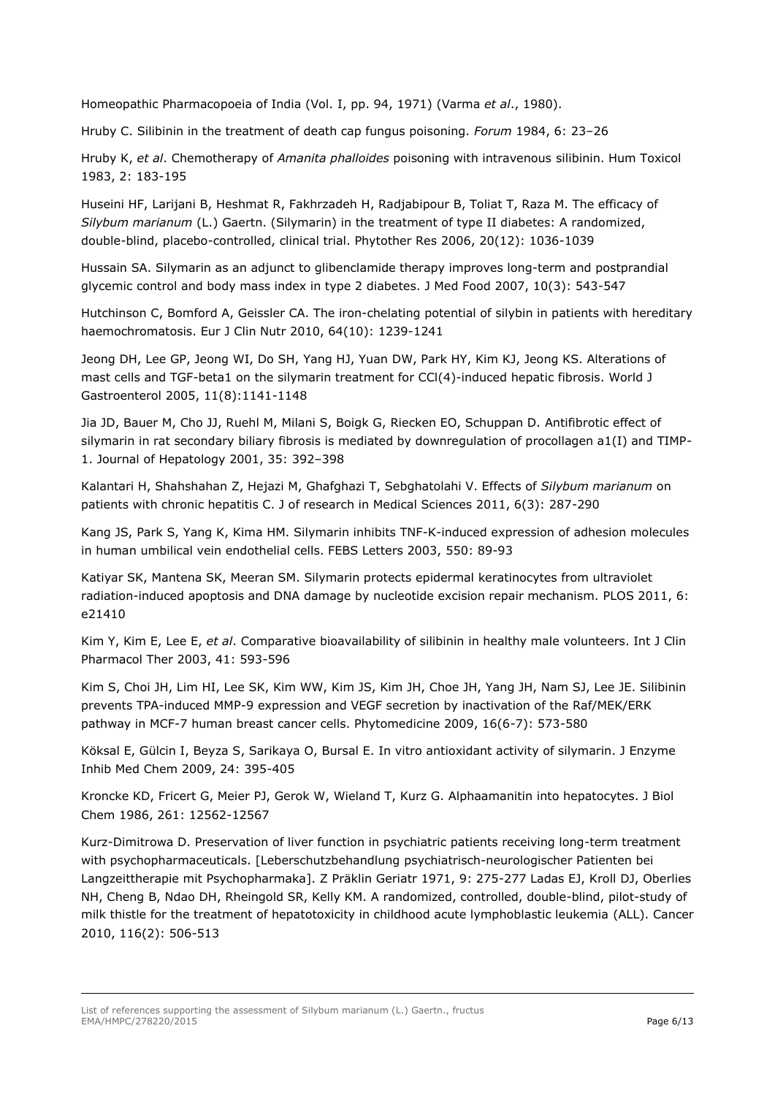Homeopathic Pharmacopoeia of India (Vol. I, pp. 94, 1971) (Varma *et al*., 1980).

Hruby C. Silibinin in the treatment of death cap fungus poisoning. *Forum* 1984, 6: 23–26

Hruby K, *et al*. Chemotherapy of *Amanita phalloides* poisoning with intravenous silibinin. Hum Toxicol 1983, 2: 183-195

Huseini HF, Larijani B, Heshmat R, Fakhrzadeh H, Radjabipour B, Toliat T, Raza M. The efficacy of *Silybum marianum* (L.) Gaertn. (Silymarin) in the treatment of type II diabetes: A randomized, double-blind, placebo-controlled, clinical trial. Phytother Res 2006, 20(12): 1036-1039

[Hussain SA.](http://www.ncbi.nlm.nih.gov/pubmed/?term=Hussain%20SA%5BAuthor%5D&cauthor=true&cauthor_uid=17887949) Silymarin as an adjunct to glibenclamide therapy improves long-term and postprandial glycemic control and body mass index in type 2 diabetes. [J Med Food](http://www.ncbi.nlm.nih.gov/pubmed/17887949) 2007, 10(3): 543-547

[Hutchinson C,](http://www.ncbi.nlm.nih.gov/pubmed/?term=Hutchinson%20C%5BAuthor%5D&cauthor=true&cauthor_uid=20628405) [Bomford A,](http://www.ncbi.nlm.nih.gov/pubmed/?term=Bomford%20A%5BAuthor%5D&cauthor=true&cauthor_uid=20628405) [Geissler CA.](http://www.ncbi.nlm.nih.gov/pubmed/?term=Geissler%20CA%5BAuthor%5D&cauthor=true&cauthor_uid=20628405) The iron-chelating potential of silybin in patients with hereditary haemochromatosis. [Eur J Clin Nutr](http://www.ncbi.nlm.nih.gov/pubmed/?term=Hutchinson+2010+silymarin) 2010, 64(10): 1239-1241

[Jeong DH,](http://www.ncbi.nlm.nih.gov/pubmed/?term=Jeong%20DH%5BAuthor%5D&cauthor=true&cauthor_uid=15754394) [Lee GP,](http://www.ncbi.nlm.nih.gov/pubmed/?term=Lee%20GP%5BAuthor%5D&cauthor=true&cauthor_uid=15754394) [Jeong WI,](http://www.ncbi.nlm.nih.gov/pubmed/?term=Jeong%20WI%5BAuthor%5D&cauthor=true&cauthor_uid=15754394) [Do SH,](http://www.ncbi.nlm.nih.gov/pubmed/?term=Do%20SH%5BAuthor%5D&cauthor=true&cauthor_uid=15754394) [Yang HJ,](http://www.ncbi.nlm.nih.gov/pubmed/?term=Yang%20HJ%5BAuthor%5D&cauthor=true&cauthor_uid=15754394) [Yuan DW,](http://www.ncbi.nlm.nih.gov/pubmed/?term=Yuan%20DW%5BAuthor%5D&cauthor=true&cauthor_uid=15754394) [Park HY,](http://www.ncbi.nlm.nih.gov/pubmed/?term=Park%20HY%5BAuthor%5D&cauthor=true&cauthor_uid=15754394) [Kim KJ,](http://www.ncbi.nlm.nih.gov/pubmed/?term=Kim%20KJ%5BAuthor%5D&cauthor=true&cauthor_uid=15754394) [Jeong KS.](http://www.ncbi.nlm.nih.gov/pubmed/?term=Jeong%20KS%5BAuthor%5D&cauthor=true&cauthor_uid=15754394) Alterations of mast cells and TGF-beta1 on the silymarin treatment for CCl(4)-induced hepatic fibrosis. World J Gastroenterol 2005, 11(8):1141-1148

Jia JD, Bauer M, Cho JJ, Ruehl M, Milani S, Boigk G, Riecken EO, Schuppan D. Antifibrotic effect of silymarin in rat secondary biliary fibrosis is mediated by downregulation of procollagen a1(I) and TIMP-1. Journal of Hepatology 2001, 35: 392–398

Kalantari H, Shahshahan Z, Hejazi M, Ghafghazi T, Sebghatolahi V. Effects of *Silybum marianum* on patients with chronic hepatitis C. J of research in Medical Sciences 2011, 6(3): 287-290

Kang JS, Park S, Yang K, Kima HM. Silymarin inhibits TNF-K-induced expression of adhesion molecules in human umbilical vein endothelial cells. FEBS Letters 2003, 550: 89-93

Katiyar SK, Mantena SK, Meeran SM. Silymarin protects epidermal keratinocytes from ultraviolet radiation-induced apoptosis and DNA damage by nucleotide excision repair mechanism. PLOS 2011, 6: e21410

Kim Y, Kim E, Lee E, *et al*. Comparative bioavailability of silibinin in healthy male volunteers. Int J Clin Pharmacol Ther 2003, 41: 593-596

Kim S, Choi JH, Lim HI, Lee SK, Kim WW, Kim JS, Kim JH, Choe JH, Yang JH, Nam SJ, Lee JE. Silibinin prevents TPA-induced MMP-9 expression and VEGF secretion by inactivation of the Raf/MEK/ERK pathway in MCF-7 human breast cancer cells. Phytomedicine 2009, 16(6-7): 573-580

Köksal E, Gülcin I, Beyza S, Sarikaya O, Bursal E. In vitro antioxidant activity of silymarin. J Enzyme Inhib Med Chem 2009, 24: 395-405

Kroncke KD, Fricert G, Meier PJ, Gerok W, Wieland T, Kurz G. Alphaamanitin into hepatocytes. J Biol Chem 1986, 261: 12562-12567

Kurz-Dimitrowa D. Preservation of liver function in psychiatric patients receiving long-term treatment with psychopharmaceuticals. [Leberschutzbehandlung psychiatrisch-neurologischer Patienten bei Langzeittherapie mit Psychopharmaka]. Z Präklin Geriatr 1971, 9: 275-277 Ladas EJ, Kroll DJ, Oberlies NH, Cheng B, Ndao DH, Rheingold SR, Kelly KM. A randomized, controlled, double-blind, pilot-study of milk thistle for the treatment of hepatotoxicity in childhood acute lymphoblastic leukemia (ALL). Cancer 2010, 116(2): 506-513

List of references supporting the assessment of Silybum marianum (L.) Gaertn., fructus EMA/HMPC/278220/2015 Page 6/13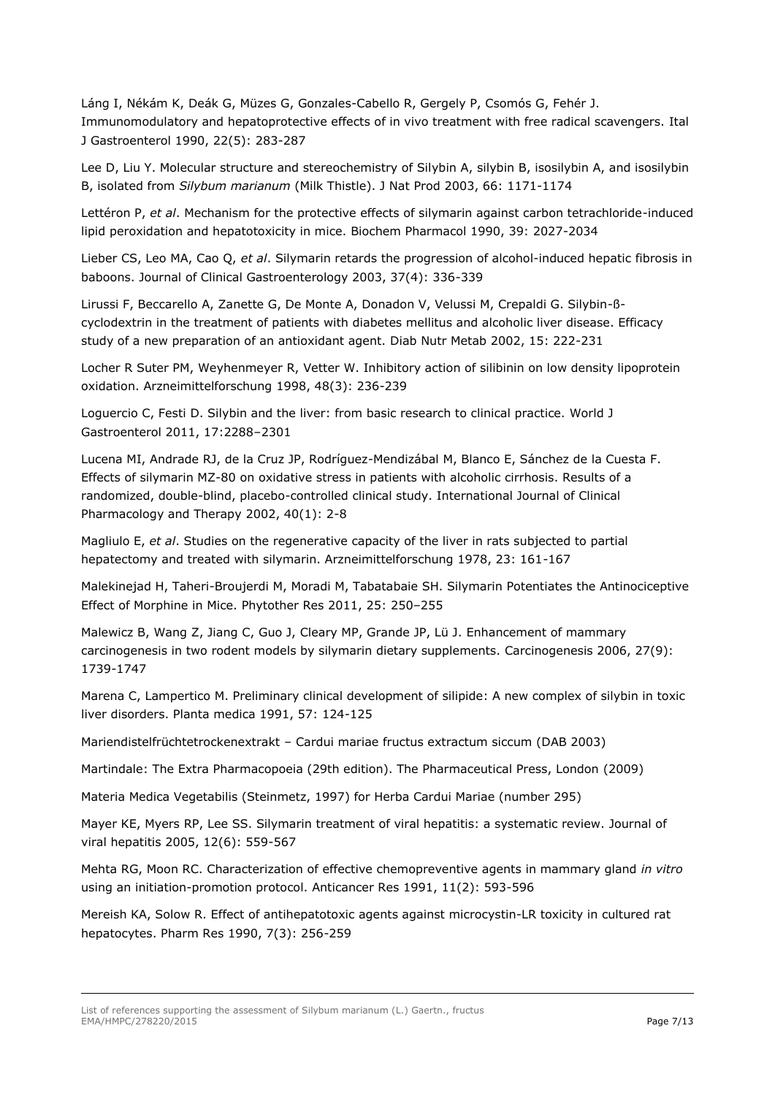Láng I, Nékám K, Deák G, Müzes G, Gonzales-Cabello R, Gergely P, Csomós G, Fehér J. [Immunomodulatory and hepatoprotective effects of in vivo treatment with free radical scavengers.](http://www.ncbi.nlm.nih.gov/pubmed/1983711) Ital J Gastroenterol 1990, 22(5): 283-287

Lee D, Liu Y. Molecular structure and stereochemistry of Silybin A, silybin B, isosilybin A, and isosilybin B, isolated from *Silybum marianum* (Milk Thistle). J Nat Prod 2003, 66: 1171-1174

Lettéron P, *et al*. Mechanism for the protective effects of silymarin against carbon tetrachloride-induced lipid peroxidation and hepatotoxicity in mice. Biochem Pharmacol 1990, 39: 2027-2034

Lieber CS, Leo MA, Cao Q, *et al*. Silymarin retards [the progression of alcohol-induced hepatic fibrosis in](http://apps.webofknowledge.com/full_record.do?product=UA&search_mode=GeneralSearch&qid=8&SID=V1s2UmFRSR9juSli8cw&page=1&doc=1)  [baboons.](http://apps.webofknowledge.com/full_record.do?product=UA&search_mode=GeneralSearch&qid=8&SID=V1s2UmFRSR9juSli8cw&page=1&doc=1) Journal of Clinical Gastroenterology 2003, 37(4): 336-339

Lirussi F, Beccarello A, Zanette G, De Monte A, Donadon V, Velussi M, Crepaldi G. Silybin-ßcyclodextrin in the treatment of patients with diabetes mellitus and alcoholic liver disease. Efficacy study of a new preparation of an antioxidant agent. Diab Nutr Metab 2002, 15: 222-231

[Locher R](http://www.ncbi.nlm.nih.gov/pubmed/?term=Locher%20R%5BAuthor%5D&cauthor=true&cauthor_uid=9553679) [Suter PM,](http://www.ncbi.nlm.nih.gov/pubmed/?term=Suter%20PM%5BAuthor%5D&cauthor=true&cauthor_uid=9553679) [Weyhenmeyer R,](http://www.ncbi.nlm.nih.gov/pubmed/?term=Weyhenmeyer%20R%5BAuthor%5D&cauthor=true&cauthor_uid=9553679) [Vetter W.](http://www.ncbi.nlm.nih.gov/pubmed/?term=Vetter%20W%5BAuthor%5D&cauthor=true&cauthor_uid=9553679) Inhibitory action of silibinin on low density lipoprotein oxidation. [Arzneimittelforschung 1](http://www.ncbi.nlm.nih.gov/pubmed/?term=locher+1998+silymarin)998, 48(3): 236-239

Loguercio C, Festi D. Silybin and the liver: from basic research to clinical practice. World J Gastroenterol 2011, 17:2288–2301

Lucena MI, Andrade RJ, de la Cruz JP, Rodríguez-Mendizábal M, Blanco E, Sánchez de la Cuesta F. Effects of silymarin MZ-80 on oxidative stress in patients with alcoholic cirrhosis. Results of a randomized, double-blind, placebo-controlled clinical study. International Journal of Clinical Pharmacology and Therapy 2002, 40(1): 2-8

Magliulo E, *et al*. Studies on the regenerative capacity of the liver in rats subjected to partial hepatectomy and treated with silymarin. Arzneimittelforschung 1978, 23: 161-167

Malekinejad H, Taheri-Broujerdi M, Moradi M, Tabatabaie SH. Silymarin Potentiates the Antinociceptive Effect of Morphine in Mice. Phytother Res 2011, 25: 250–255

[Malewicz B,](http://www.ncbi.nlm.nih.gov/pubmed/?term=Malewicz%20B%5BAuthor%5D&cauthor=true&cauthor_uid=16597642) [Wang Z,](http://www.ncbi.nlm.nih.gov/pubmed/?term=Wang%20Z%5BAuthor%5D&cauthor=true&cauthor_uid=16597642) [Jiang C,](http://www.ncbi.nlm.nih.gov/pubmed/?term=Jiang%20C%5BAuthor%5D&cauthor=true&cauthor_uid=16597642) [Guo J,](http://www.ncbi.nlm.nih.gov/pubmed/?term=Guo%20J%5BAuthor%5D&cauthor=true&cauthor_uid=16597642) [Cleary MP,](http://www.ncbi.nlm.nih.gov/pubmed/?term=Cleary%20MP%5BAuthor%5D&cauthor=true&cauthor_uid=16597642) [Grande JP,](http://www.ncbi.nlm.nih.gov/pubmed/?term=Grande%20JP%5BAuthor%5D&cauthor=true&cauthor_uid=16597642) [Lü J.](http://www.ncbi.nlm.nih.gov/pubmed/?term=L%C3%BC%20J%5BAuthor%5D&cauthor=true&cauthor_uid=16597642) Enhancement of mammary carcinogenesis in two rodent models by silymarin dietary supplements. Carcinogenesis 2006, 27(9): 1739-1747

Marena C, Lampertico M. Preliminary clinical development of silipide: A new complex of silybin in toxic liver disorders. Planta medica 1991, 57: 124-125

Mariendistelfrüchtetrockenextrakt – Cardui mariae fructus extractum siccum (DAB 2003)

Martindale: The Extra Pharmacopoeia (29th edition). The Pharmaceutical Press, London (2009)

Materia Medica Vegetabilis (Steinmetz, 1997) for Herba Cardui Mariae (number 295)

Mayer KE, Myers RP, Lee SS. Silymarin treatment of viral hepatitis: a systematic review. Journal of viral hepatitis 2005, 12(6): 559-567

Mehta RG, Moon RC. Characterization of effective chemopreventive agents in mammary gland *in vitro*  using an initiation-promotion protocol. Anticancer Res 1991, 11(2): 593-596

Mereish KA, Solow R. Effect of antihepatotoxic agents against microcystin-LR toxicity in cultured rat hepatocytes. Pharm Res 1990, 7(3): 256-259

List of references supporting the assessment of Silybum marianum (L.) Gaertn., fructus EMA/HMPC/278220/2015 Page 7/13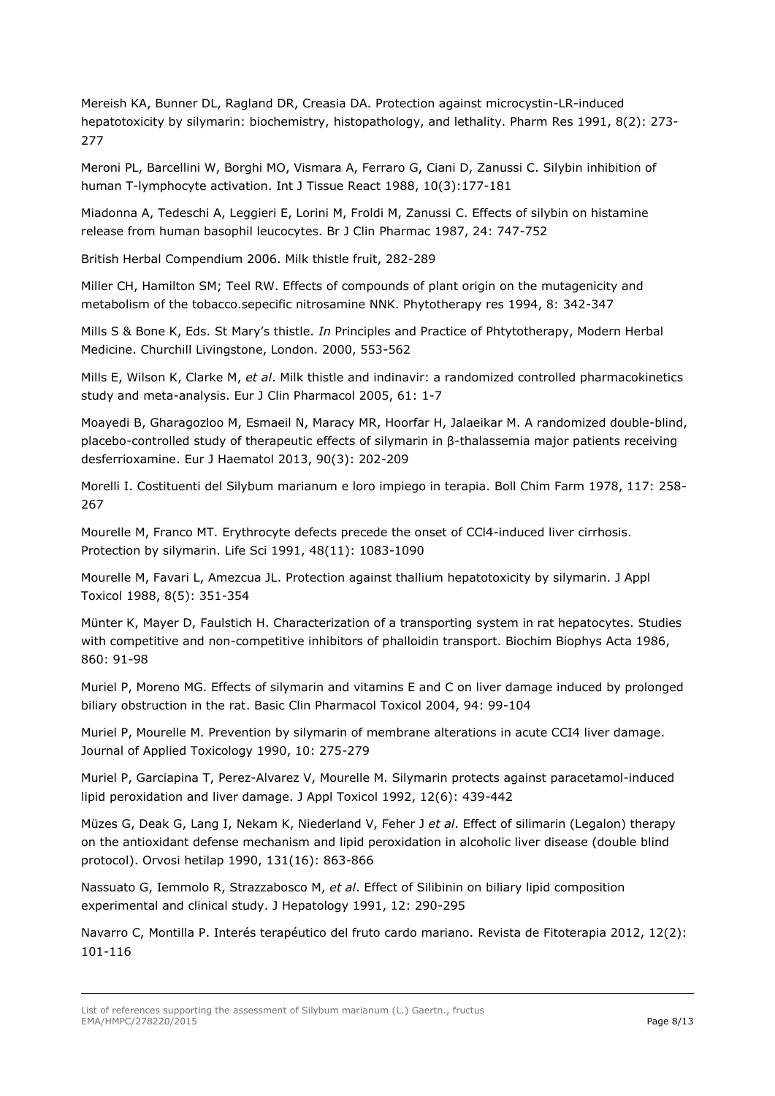Mereish KA, Bunner DL, Ragland DR, Creasia DA. Protection against microcystin-LR-induced hepatotoxicity by silymarin: biochemistry, histopathology, and lethality. Pharm Res 1991, 8(2): 273- 277

Meroni PL, Barcellini W, Borghi MO, Vismara A, Ferraro G, Ciani D, Zanussi C. [Silybin inhibition of](http://www.ncbi.nlm.nih.gov/pubmed/3265704)  [human T-lymphocyte activation.](http://www.ncbi.nlm.nih.gov/pubmed/3265704) Int J Tissue React 1988, 10(3):177-181

Miadonna A, Tedeschi A, Leggieri E, Lorini M, Froldi M, Zanussi C. Effects of silybin on histamine release from human basophil leucocytes. Br J Clin Pharmac 1987, 24: 747-752

British Herbal Compendium 2006. Milk thistle fruit, 282-289

Miller CH, Hamilton SM; Teel RW. Effects of compounds of plant origin on the mutagenicity and metabolism of the tobacco.sepecific nitrosamine NNK. Phytotherapy res 1994, 8: 342-347

Mills S & Bone K, Eds. St Mary's thistle. *In* Principles and Practice of Phtytotherapy, Modern Herbal Medicine. Churchill Livingstone, London. 2000, 553-562

Mills E, Wilson K, Clarke M, *et al*. Milk thistle and indinavir: a randomized controlled pharmacokinetics study and meta-analysis. Eur J Clin Pharmacol 2005, 61: 1-7

[Moayedi B,](http://www.ncbi.nlm.nih.gov/pubmed/?term=Moayedi%20B%5BAuthor%5D&cauthor=true&cauthor_uid=23278124) [Gharagozloo M,](http://www.ncbi.nlm.nih.gov/pubmed/?term=Gharagozloo%20M%5BAuthor%5D&cauthor=true&cauthor_uid=23278124) [Esmaeil N,](http://www.ncbi.nlm.nih.gov/pubmed/?term=Esmaeil%20N%5BAuthor%5D&cauthor=true&cauthor_uid=23278124) [Maracy MR,](http://www.ncbi.nlm.nih.gov/pubmed/?term=Maracy%20MR%5BAuthor%5D&cauthor=true&cauthor_uid=23278124) [Hoorfar H,](http://www.ncbi.nlm.nih.gov/pubmed/?term=Hoorfar%20H%5BAuthor%5D&cauthor=true&cauthor_uid=23278124) [Jalaeikar M.](http://www.ncbi.nlm.nih.gov/pubmed/?term=Jalaeikar%20M%5BAuthor%5D&cauthor=true&cauthor_uid=23278124) A randomized double-blind, placebo-controlled study of therapeutic effects of silymarin in β-thalassemia major patients receiving desferrioxamine. [Eur J Haematol 2](http://www.ncbi.nlm.nih.gov/pubmed/?term=moayedi+milk+thistle)013, 90(3): 202-209

Morelli I. Costituenti del Silybum marianum e loro impiego in terapia. Boll Chim Farm 1978, 117: 258- 267

[Mourelle M,](http://www.ncbi.nlm.nih.gov/pubmed/?term=Mourelle%20M%5BAuthor%5D&cauthor=true&cauthor_uid=1847733) [Franco MT.](http://www.ncbi.nlm.nih.gov/pubmed/?term=Franco%20MT%5BAuthor%5D&cauthor=true&cauthor_uid=1847733) Erythrocyte defects precede the onset of CCl4-induced liver cirrhosis. Protection by silymarin. [Life Sci 1](http://www.ncbi.nlm.nih.gov/pubmed/1847733)991, 48(11): 1083-1090

[Mourelle M,](http://www.ncbi.nlm.nih.gov/pubmed/?term=Mourelle%20M%5BAuthor%5D&cauthor=true&cauthor_uid=3230245) [Favari L,](http://www.ncbi.nlm.nih.gov/pubmed/?term=Favari%20L%5BAuthor%5D&cauthor=true&cauthor_uid=3230245) [Amezcua JL.](http://www.ncbi.nlm.nih.gov/pubmed/?term=Amezcua%20JL%5BAuthor%5D&cauthor=true&cauthor_uid=3230245) Protection against thallium hepatotoxicity by silymarin. [J Appl](http://www.ncbi.nlm.nih.gov/pubmed/3230245)  [Toxicol 1](http://www.ncbi.nlm.nih.gov/pubmed/3230245)988, 8(5): 351-354

Münter K, Mayer D, Faulstich H. Characterization of a transporting system in rat hepatocytes. Studies with competitive and non-competitive inhibitors of phalloidin transport. Biochim Biophys Acta 1986, 860: 91-98

Muriel P, Moreno MG. Effects of silymarin and vitamins E and C on liver damage induced by prolonged biliary obstruction in the rat. Basic Clin Pharmacol Toxicol 2004, 94: 99-104

Muriel P, Mourelle M. Prevention by silymarin of membrane alterations in acute CCI4 liver damage. Journal of Applied Toxicology 1990, 10: 275-279

Muriel P, Garciapina T, Perez-Alvarez V, Mourelle M. Silymarin protects against paracetamol-induced lipid peroxidation and liver damage. J Appl Toxicol 1992, 12(6): 439-442

Müzes G, Deak G, Lang I, [Nekam K,](http://apps.webofknowledge.com/OneClickSearch.do?product=UA&search_mode=OneClickSearch&excludeEventConfig=ExcludeIfFromFullRecPage&SID=V2zVfc7FUaEegEMZiLP&field=AU&value=Nekam%2C+K) [Niederland V,](http://apps.webofknowledge.com/OneClickSearch.do?product=UA&search_mode=OneClickSearch&excludeEventConfig=ExcludeIfFromFullRecPage&SID=V2zVfc7FUaEegEMZiLP&field=AU&value=Niederland%2C+V) [Feher J](http://apps.webofknowledge.com/OneClickSearch.do?product=UA&search_mode=OneClickSearch&excludeEventConfig=ExcludeIfFromFullRecPage&SID=V2zVfc7FUaEegEMZiLP&field=AU&value=Feher%2C+J) *et al*. Effect of silimarin (Legalon) therapy on the antioxidant defense mechanism and lipid peroxidation in alcoholic liver disease (double blind protocol). Orvosi hetilap 1990, 131(16): 863-866

Nassuato G, Iemmolo R, Strazzabosco M, *et al*. Effect of Silibinin on biliary lipid composition experimental and clinical study. J Hepatology 1991, 12: 290-295

Navarro C, Montilla P. Interés terapéutico del fruto cardo mariano. Revista de Fitoterapia 2012, 12(2): 101-116

List of references supporting the assessment of Silybum marianum (L.) Gaertn., fructus EMA/HMPC/278220/2015 Page 8/13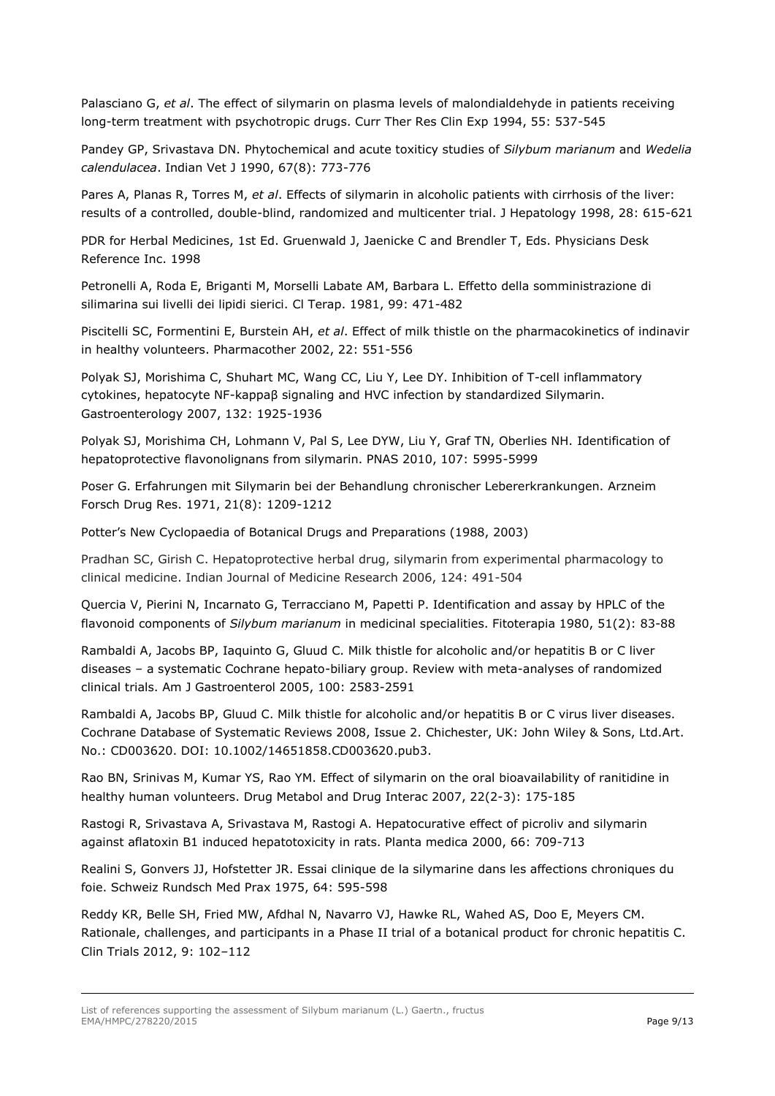Palasciano G, *et al*. The effect of silymarin on plasma levels of malondialdehyde in patients receiving long-term treatment with psychotropic drugs. Curr Ther Res Clin Exp 1994, 55: 537-545

Pandey GP, Srivastava DN. Phytochemical and acute toxiticy studies of *Silybum marianum* and *Wedelia calendulacea*. Indian Vet J 1990, 67(8): 773-776

Pares A, Planas R, Torres M, *et al*. Effects of silymarin in alcoholic patients with cirrhosis of the liver: results of a controlled, double-blind, randomized and multicenter trial. J Hepatology 1998, 28: 615-621

PDR for Herbal Medicines, 1st Ed. [Gruenwald](http://www.barnesandnoble.com/c/joerg-gruenwald) J, [Jaenicke C and Brendler T, Eds. P](http://www.barnesandnoble.com/c/christopher-jaenicke)hysicians Desk Reference Inc. 1998

Petronelli A, Roda E, Briganti M, Morselli Labate AM, Barbara L. Effetto della somministrazione di silimarina sui livelli dei lipidi sierici. Cl Terap. 1981, 99: 471-482

Piscitelli SC, Formentini E, Burstein AH, *et al*. Effect of milk thistle on the pharmacokinetics of indinavir in healthy volunteers. Pharmacother 2002, 22: 551-556

Polyak SJ, Morishima C, Shuhart MC, Wang CC, Liu Y, Lee DY. Inhibition of T-cell inflammatory cytokines, hepatocyte NF-kappaβ signaling and HVC infection by standardized Silymarin. Gastroenterology 2007, 132: 1925-1936

Polyak SJ, Morishima CH, Lohmann V, Pal S, Lee DYW, Liu Y, Graf TN, Oberlies NH. Identification of hepatoprotective flavonolignans from silymarin. PNAS 2010, 107: 5995-5999

Poser G. Erfahrungen mit Silymarin bei der Behandlung chronischer Lebererkrankungen. Arzneim Forsch Drug Res. 1971, 21(8): 1209-1212

Potter's New Cyclopaedia of Botanical Drugs and Preparations (1988, 2003)

Pradhan SC, Girish C. Hepatoprotective herbal drug, silymarin from experimental pharmacology to clinical medicine. Indian Journal of Medicine Research 2006, 124: 491-504

Quercia V, Pierini N, Incarnato G, Terracciano M, Papetti P. Identification and assay by HPLC of the flavonoid components of *Silybum marianum* in medicinal specialities. Fitoterapia 1980, 51(2): 83-88

Rambaldi A, Jacobs BP, Iaquinto G, Gluud C. Milk thistle for alcoholic and/or hepatitis B or C liver diseases – a systematic Cochrane hepato-biliary group. Review with meta-analyses of randomized clinical trials. Am J Gastroenterol 2005, 100: 2583-2591

Rambaldi A, Jacobs BP, Gluud C. Milk thistle for alcoholic and/or hepatitis B or C virus liver diseases. Cochrane Database of Systematic Reviews 2008, Issue 2. Chichester, UK: John Wiley & Sons, Ltd.Art. No.: CD003620. DOI: 10.1002/14651858.CD003620.pub3.

Rao [BN,](http://www.researchgate.net/profile/Nageshwar_Budha) Srinivas M, Kumar YS, Rao [YM. E](http://www.researchgate.net/profile/Srinivas_Maddi2)ffect of silymarin on the oral bioavailability of ranitidine in healthy human volunteers. [Drug Metabol and Drug Intera](http://www.researchgate.net/journal/0792-5077_Drug_metabolism_and_drug_interactions)c 2007, 22(2-3): 175-185

Rastogi R, Srivastava A, Srivastava M, Rastogi A. Hepatocurative effect of picroliv and silymarin against aflatoxin B1 induced hepatotoxicity in rats. Planta medica 2000, 66: 709-713

Realini S, Gonvers JJ, Hofstetter JR. Essai clinique de la silymarine dans les affections chroniques du foie. Schweiz Rundsch Med Prax 1975, 64: 595-598

Reddy KR, Belle SH, Fried MW, Afdhal N, Navarro VJ, Hawke RL, Wahed AS, Doo E, Meyers CM. Rationale, challenges, and participants in a Phase II trial of a botanical product for chronic hepatitis C. Clin Trials 2012, 9: 102–112

List of references supporting the assessment of Silybum marianum (L.) Gaertn., fructus EMA/HMPC/278220/2015 Page 9/13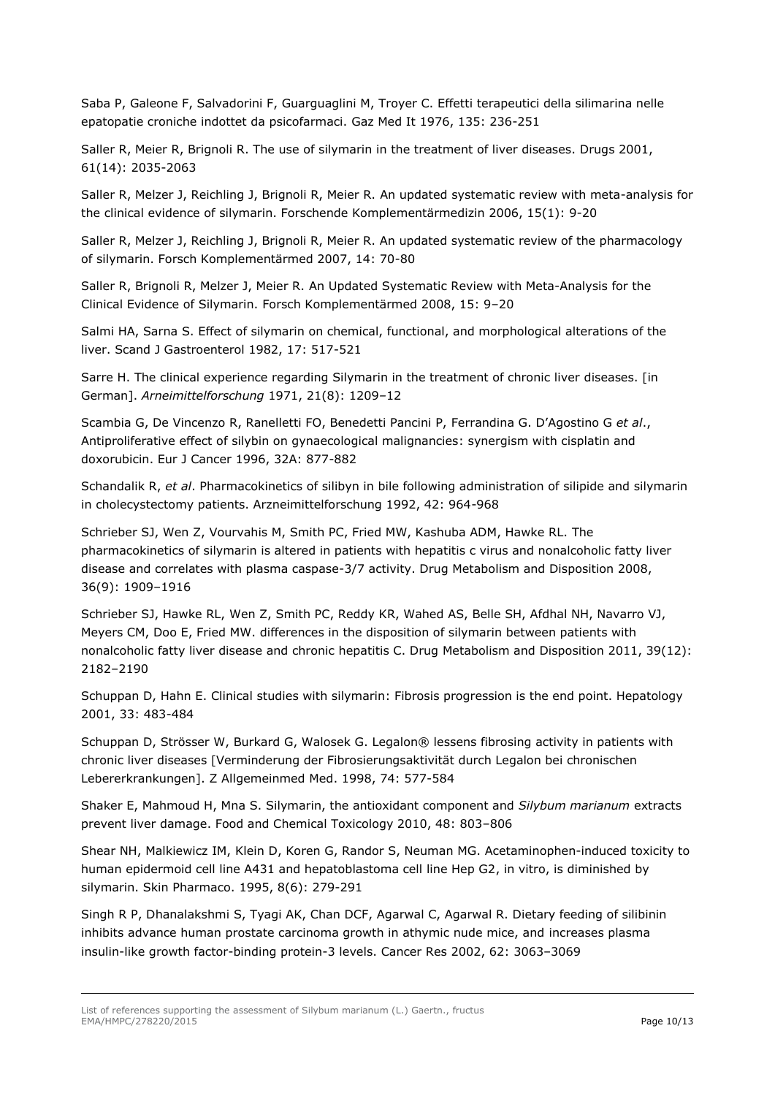Saba P, Galeone F, Salvadorini F, Guarguaglini M, Troyer C. Effetti terapeutici della silimarina nelle epatopatie croniche indottet da psicofarmaci. Gaz Med It 1976, 135: 236-251

Saller R, Meier R, Brignoli R. The use of silymarin in the treatment of liver diseases. Drugs 2001, 61(14): 2035-2063

Saller R, Melzer J, Reichling J, Brignoli R, Meier R. An updated systematic review with meta-analysis for the clinical evidence of silymarin. Forschende Komplementärmedizin 2006, 15(1): 9-20

Saller R, Melzer J, Reichling J, Brignoli R, Meier R. An updated systematic review of the pharmacology of silymarin. Forsch Komplementärmed 2007, 14: 70-80

Saller R, Brignoli R, Melzer J, Meier R. An Updated Systematic Review with Meta-Analysis for the Clinical Evidence of Silymarin. Forsch Komplementärmed 2008, 15: 9–20

Salmi HA, Sarna S. Effect of silymarin on chemical, functional, and morphological alterations of the liver. Scand J Gastroenterol 1982, 17: 517-521

Sarre H. The clinical experience regarding Silymarin in the treatment of chronic liver diseases. [in German]. *Arneimittelforschung* 1971, 21(8): 1209*–*12

Scambia G, De Vincenzo R, Ranelletti FO, Benedetti Pancini P, Ferrandina G. D'Agostino G *et al*., Antiproliferative effect of silybin on gynaecological malignancies: synergism with cisplatin and doxorubicin. Eur J Cancer 1996, 32A: 877-882

Schandalik R, *et al*. Pharmacokinetics of silibyn in bile following administration of silipide and silymarin in cholecystectomy patients. Arzneimittelforschung 1992, 42: 964-968

Schrieber SJ, Wen Z, Vourvahis M, Smith PC, Fried MW, Kashuba ADM, Hawke RL. The pharmacokinetics of silymarin is altered in patients with hepatitis c virus and nonalcoholic fatty liver disease and correlates with plasma caspase-3/7 activity. Drug Metabolism and Disposition 2008, 36(9): 1909–1916

Schrieber SJ, Hawke RL, Wen Z, Smith PC, Reddy KR, Wahed AS, Belle SH, Afdhal NH, Navarro VJ, Meyers CM, Doo E, Fried MW. differences in the disposition of silymarin between patients with nonalcoholic fatty liver disease and chronic hepatitis C. Drug Metabolism and Disposition 2011, 39(12): 2182–2190

Schuppan D, Hahn E. Clinical studies with silymarin: Fibrosis progression is the end point. Hepatology 2001, 33: 483-484

Schuppan D, Strösser W, Burkard G, Walosek G. Legalon® lessens fibrosing activity in patients with chronic liver diseases [Verminderung der Fibrosierungsaktivität durch Legalon bei chronischen Lebererkrankungen]. Z Allgemeinmed Med. 1998, 74: 577-584

Shaker E, Mahmoud H, Mna S. Silymarin, the antioxidant component and *Silybum marianum* extracts prevent liver damage. Food and Chemical Toxicology 2010, 48: 803–806

[Shear NH,](http://www.ncbi.nlm.nih.gov/pubmed/?term=Shear%20NH%5BAuthor%5D&cauthor=true&cauthor_uid=8688194) [Malkiewicz IM,](http://www.ncbi.nlm.nih.gov/pubmed/?term=Malkiewicz%20IM%5BAuthor%5D&cauthor=true&cauthor_uid=8688194) [Klein D,](http://www.ncbi.nlm.nih.gov/pubmed/?term=Klein%20D%5BAuthor%5D&cauthor=true&cauthor_uid=8688194) [Koren G,](http://www.ncbi.nlm.nih.gov/pubmed/?term=Koren%20G%5BAuthor%5D&cauthor=true&cauthor_uid=8688194) [Randor S,](http://www.ncbi.nlm.nih.gov/pubmed/?term=Randor%20S%5BAuthor%5D&cauthor=true&cauthor_uid=8688194) [Neuman MG.](http://www.ncbi.nlm.nih.gov/pubmed/?term=Neuman%20MG%5BAuthor%5D&cauthor=true&cauthor_uid=8688194) Acetaminophen-induced toxicity to human epidermoid cell line A431 and hepatoblastoma cell line Hep G2, in vitro, is diminished by silymarin. [Skin Pharmaco.](http://www.ncbi.nlm.nih.gov/pubmed/8688194) 1995, 8(6): 279-291

Singh R P, Dhanalakshmi S, Tyagi AK, Chan DCF, Agarwal C, Agarwal R. Dietary feeding of silibinin inhibits advance human prostate carcinoma growth in athymic nude mice, and increases plasma insulin-like growth factor-binding protein-3 levels. Cancer Res 2002, 62: 3063–3069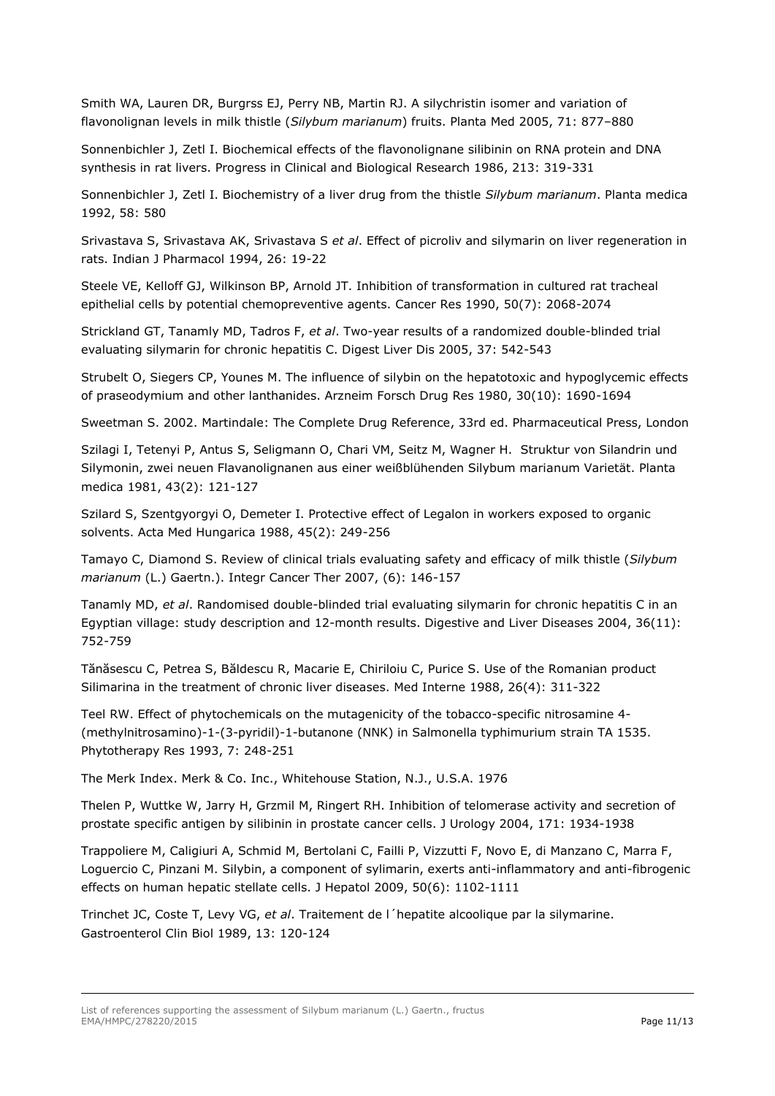Smith WA, Lauren DR, Burgrss EJ, Perry NB, Martin RJ. A silychristin isomer and variation of flavonolignan levels in milk thistle (*Silybum marianum*) fruits. Planta Med 2005, 71: 877–880

Sonnenbichler J, Zetl I. Biochemical effects of the flavonolignane silibinin on RNA protein and DNA synthesis in rat livers. Progress in Clinical and Biological Research 1986, 213: 319-331

Sonnenbichler J, Zetl I. Biochemistry of a liver drug from the thistle *Silybum marianum*. Planta medica 1992, 58: 580

Srivastava S, Srivastava AK, Srivastava S *et al*. Effect of picroliv and silymarin on liver regeneration in rats. Indian J Pharmacol 1994, 26: 19-22

[Steele VE,](http://www.ncbi.nlm.nih.gov/pubmed/?term=Steele%20VE%5BAuthor%5D&cauthor=true&cauthor_uid=2138505) [Kelloff GJ,](http://www.ncbi.nlm.nih.gov/pubmed/?term=Kelloff%20GJ%5BAuthor%5D&cauthor=true&cauthor_uid=2138505) [Wilkinson BP,](http://www.ncbi.nlm.nih.gov/pubmed/?term=Wilkinson%20BP%5BAuthor%5D&cauthor=true&cauthor_uid=2138505) [Arnold JT.](http://www.ncbi.nlm.nih.gov/pubmed/?term=Arnold%20JT%5BAuthor%5D&cauthor=true&cauthor_uid=2138505) Inhibition of transformation in cultured rat tracheal epithelial cells by potential chemopreventive agents. [Cancer Res](http://www.ncbi.nlm.nih.gov/pubmed/?term=steele+1990+silymarin) 1990, 50(7): 2068-2074

Strickland GT, Tanamly MD, Tadros F, *et al*. Two-year results of a randomized double-blinded trial evaluating silymarin for chronic hepatitis C. Digest Liver Dis 2005, 37: 542-543

Strubelt O, Siegers CP, Younes M. The influence of silybin on the hepatotoxic and hypoglycemic effects of praseodymium and other lanthanides. Arzneim Forsch Drug Res 1980, 30(10): 1690-1694

Sweetman S. 2002. Martindale: The Complete Drug Reference, 33rd ed. Pharmaceutical Press, London

Szilagi I, Tetenyi P, Antus S, Seligmann O, Chari VM, Seitz M, Wagner H. Struktur von Silandrin und Silymonin, zwei neuen Flavanolignanen aus einer weißblühenden Silybum marianum Varietät. Planta medica 1981, 43(2): 121-127

Szilard S, Szentgyorgyi O, Demeter I. Protective effect of Legalon in workers exposed to organic solvents. Acta Med Hungarica 1988, 45(2): 249-256

Tamayo C, Diamond S. Review of clinical trials evaluating safety and efficacy of milk thistle (*Silybum marianum* (L.) Gaertn.). Integr Cancer Ther 2007, (6): 146-157

Tanamly MD, *et al*. Randomised double-blinded trial evaluating silymarin for chronic hepatitis C in an Egyptian village: study description and 12-month results. Digestive and Liver Diseases 2004, 36(11): 752-759

[Tănăsescu C](http://www.ncbi.nlm.nih.gov/pubmed/?term=T%C4%83n%C4%83sescu%20C%5BAuthor%5D&cauthor=true&cauthor_uid=3072661), [Petrea S,](http://www.ncbi.nlm.nih.gov/pubmed/?term=Petrea%20S%5BAuthor%5D&cauthor=true&cauthor_uid=3072661) [Băldescu R](http://www.ncbi.nlm.nih.gov/pubmed/?term=B%C4%83ldescu%20R%5BAuthor%5D&cauthor=true&cauthor_uid=3072661), [Macarie E,](http://www.ncbi.nlm.nih.gov/pubmed/?term=Macarie%20E%5BAuthor%5D&cauthor=true&cauthor_uid=3072661) [Chiriloiu C,](http://www.ncbi.nlm.nih.gov/pubmed/?term=Chiriloiu%20C%5BAuthor%5D&cauthor=true&cauthor_uid=3072661) [Purice S.](http://www.ncbi.nlm.nih.gov/pubmed/?term=Purice%20S%5BAuthor%5D&cauthor=true&cauthor_uid=3072661) Use of the Romanian product Silimarina in the treatment of chronic liver diseases. [Med Interne](http://www.ncbi.nlm.nih.gov/pubmed/3072661) 1988, 26(4): 311-322

Teel RW. Effect of phytochemicals on the mutagenicity of the tobacco-specific nitrosamine 4- (methylnitrosamino)-1-(3-pyridil)-1-butanone (NNK) in Salmonella typhimurium strain TA 1535. Phytotherapy Res 1993, 7: 248-251

The Merk Index. Merk & Co. Inc., Whitehouse Station, N.J., U.S.A. 1976

Thelen P, Wuttke W, Jarry H, Grzmil M, Ringert RH. Inhibition of telomerase activity and secretion of prostate specific antigen by silibinin in prostate cancer cells. J Urology 2004, 171: 1934-1938

[Trappoliere M,](http://www.ncbi.nlm.nih.gov/pubmed/?term=Trappoliere%20M%5BAuthor%5D&cauthor=true&cauthor_uid=19398228) [Caligiuri A,](http://www.ncbi.nlm.nih.gov/pubmed/?term=Caligiuri%20A%5BAuthor%5D&cauthor=true&cauthor_uid=19398228) [Schmid M,](http://www.ncbi.nlm.nih.gov/pubmed/?term=Schmid%20M%5BAuthor%5D&cauthor=true&cauthor_uid=19398228) [Bertolani C,](http://www.ncbi.nlm.nih.gov/pubmed/?term=Bertolani%20C%5BAuthor%5D&cauthor=true&cauthor_uid=19398228) [Failli P,](http://www.ncbi.nlm.nih.gov/pubmed/?term=Failli%20P%5BAuthor%5D&cauthor=true&cauthor_uid=19398228) [Vizzutti F,](http://www.ncbi.nlm.nih.gov/pubmed/?term=Vizzutti%20F%5BAuthor%5D&cauthor=true&cauthor_uid=19398228) [Novo E,](http://www.ncbi.nlm.nih.gov/pubmed/?term=Novo%20E%5BAuthor%5D&cauthor=true&cauthor_uid=19398228) [di Manzano C,](http://www.ncbi.nlm.nih.gov/pubmed/?term=di%20Manzano%20C%5BAuthor%5D&cauthor=true&cauthor_uid=19398228) [Marra F,](http://www.ncbi.nlm.nih.gov/pubmed/?term=Marra%20F%5BAuthor%5D&cauthor=true&cauthor_uid=19398228) [Loguercio C,](http://www.ncbi.nlm.nih.gov/pubmed/?term=Loguercio%20C%5BAuthor%5D&cauthor=true&cauthor_uid=19398228) [Pinzani M.](http://www.ncbi.nlm.nih.gov/pubmed/?term=Pinzani%20M%5BAuthor%5D&cauthor=true&cauthor_uid=19398228) Silybin, a component of sylimarin, exerts anti-inflammatory and anti-fibrogenic effects on human hepatic stellate cells. [J Hepatol](http://www.ncbi.nlm.nih.gov/pubmed/?term=Trappoliere+2009+SILIBININ) 2009, 50(6): 1102-1111

Trinchet JC, Coste T, Levy VG, *et al*. Traitement de l´hepatite alcoolique par la silymarine. Gastroenterol Clin Biol 1989, 13: 120-124

List of references supporting the assessment of Silybum marianum (L.) Gaertn., fructus EMA/HMPC/278220/2015 **Page 11/13**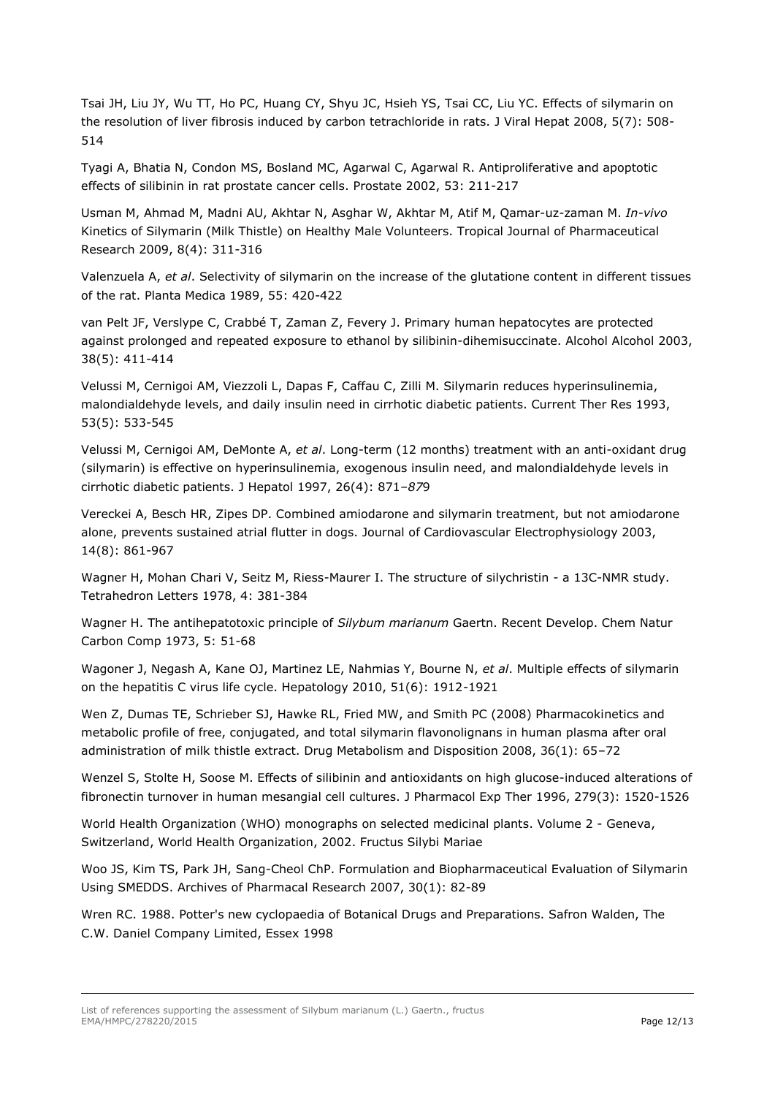[Tsai JH,](http://www.ncbi.nlm.nih.gov/pubmed/?term=Tsai%20JH%5BAuthor%5D&cauthor=true&cauthor_uid=18397225) [Liu JY,](http://www.ncbi.nlm.nih.gov/pubmed/?term=Liu%20JY%5BAuthor%5D&cauthor=true&cauthor_uid=18397225) [Wu TT,](http://www.ncbi.nlm.nih.gov/pubmed/?term=Wu%20TT%5BAuthor%5D&cauthor=true&cauthor_uid=18397225) [Ho PC,](http://www.ncbi.nlm.nih.gov/pubmed/?term=Ho%20PC%5BAuthor%5D&cauthor=true&cauthor_uid=18397225) [Huang CY,](http://www.ncbi.nlm.nih.gov/pubmed/?term=Huang%20CY%5BAuthor%5D&cauthor=true&cauthor_uid=18397225) [Shyu JC,](http://www.ncbi.nlm.nih.gov/pubmed/?term=Shyu%20JC%5BAuthor%5D&cauthor=true&cauthor_uid=18397225) [Hsieh YS,](http://www.ncbi.nlm.nih.gov/pubmed/?term=Hsieh%20YS%5BAuthor%5D&cauthor=true&cauthor_uid=18397225) [Tsai CC,](http://www.ncbi.nlm.nih.gov/pubmed/?term=Tsai%20CC%5BAuthor%5D&cauthor=true&cauthor_uid=18397225) [Liu YC.](http://www.ncbi.nlm.nih.gov/pubmed/?term=Liu%20YC%5BAuthor%5D&cauthor=true&cauthor_uid=18397225) Effects of silymarin on the resolution of liver fibrosis induced by carbon tetrachloride in rats. [J Viral Hepat](http://www.ncbi.nlm.nih.gov/pubmed/18397225) 2008, 5(7): 508- 514

Tyagi A, Bhatia N, Condon MS, Bosland MC, Agarwal C, Agarwal R. Antiproliferative and apoptotic effects of silibinin in rat prostate cancer cells. Prostate 2002, 53: 211-217

Usman M, Ahmad M, Madni AU, Akhtar N, Asghar W, Akhtar M, Atif M, Qamar-uz-zaman M. *In-vivo*  Kinetics of Silymarin (Milk Thistle) on Healthy Male Volunteers. Tropical Journal of Pharmaceutical Research 2009, 8(4): 311-316

Valenzuela A, *et al*. Selectivity of silymarin on the increase of the glutatione content in different tissues of the rat. Planta Medica 1989, 55: 420-422

[van Pelt JF,](http://www.ncbi.nlm.nih.gov/pubmed/?term=van%20Pelt%20JF%5BAuthor%5D&cauthor=true&cauthor_uid=12915515) [Verslype C,](http://www.ncbi.nlm.nih.gov/pubmed/?term=Verslype%20C%5BAuthor%5D&cauthor=true&cauthor_uid=12915515) [Crabbé T,](http://www.ncbi.nlm.nih.gov/pubmed/?term=Crabb%C3%A9%20T%5BAuthor%5D&cauthor=true&cauthor_uid=12915515) [Zaman Z,](http://www.ncbi.nlm.nih.gov/pubmed/?term=Zaman%20Z%5BAuthor%5D&cauthor=true&cauthor_uid=12915515) [Fevery J.](http://www.ncbi.nlm.nih.gov/pubmed/?term=Fevery%20J%5BAuthor%5D&cauthor=true&cauthor_uid=12915515) Primary human hepatocytes are protected against prolonged and repeated exposure to ethanol by silibinin-dihemisuccinate. [Alcohol Alcohol](http://www.ncbi.nlm.nih.gov/pubmed/12915515) 2003, 38(5): 411-414

Velussi M, Cernigoi AM, Viezzoli L, Dapas F, Caffau C, Zilli M. Silymarin reduces hyperinsulinemia, malondialdehyde levels, and daily insulin need in cirrhotic diabetic patients. Current Ther Res 1993, 53(5): 533-545

Velussi M, Cernigoi AM, DeMonte A, *et al*. Long-term (12 months) treatment with an anti-oxidant drug (silymarin) is effective on hyperinsulinemia, exogenous insulin need, and malondialdehyde levels in cirrhotic diabetic patients. J Hepatol 1997, 26(4): 871*–87*9

Vereckei A, Besch HR, Zipes DP. Combined amiodarone and silymarin treatment, but not amiodarone alone, prevents sustained atrial flutter in dogs. Journal of Cardiovascular Electrophysiology 2003, 14(8): 861-967

Wagner H, Mohan Chari V, Seitz M, Riess-Maurer I. The structure of silychristin - a 13C-NMR study. Tetrahedron Letters 1978, 4: 381-384

Wagner H. The antihepatotoxic principle of *Silybum marianum* Gaertn. Recent Develop. Chem Natur Carbon Comp 1973, 5: 51-68

Wagoner J, Negash A, Kane OJ, Martinez LE, Nahmias Y, Bourne N, *et al*. Multiple effects of silymarin on the hepatitis C virus life cycle. Hepatology 2010, 51(6): 1912-1921

Wen Z, Dumas TE, Schrieber SJ, Hawke RL, Fried MW, and Smith PC (2008) Pharmacokinetics and metabolic profile of free, conjugated, and total silymarin flavonolignans in human plasma after oral administration of milk thistle extract. Drug Metabolism and Disposition 2008, 36(1): 65–72

[Wenzel S,](http://www.ncbi.nlm.nih.gov/pubmed/?term=Wenzel%20S%5BAuthor%5D&cauthor=true&cauthor_uid=8968378) [Stolte H,](http://www.ncbi.nlm.nih.gov/pubmed/?term=Stolte%20H%5BAuthor%5D&cauthor=true&cauthor_uid=8968378) [Soose M.](http://www.ncbi.nlm.nih.gov/pubmed/?term=Soose%20M%5BAuthor%5D&cauthor=true&cauthor_uid=8968378) Effects of silibinin and antioxidants on high glucose-induced alterations of fibronectin turnover in human mesangial cell cultures. [J Pharmacol Exp Ther](http://www.ncbi.nlm.nih.gov/pubmed/?term=Wenzel+1996+silibinin) 1996, 279(3): 1520-1526

World Health Organization (WHO) monographs on selected medicinal plants. Volume 2 - Geneva, Switzerland, World Health Organization, 2002. Fructus Silybi Mariae

Woo JS, Kim TS, Park JH, Sang-Cheol ChP. Formulation and Biopharmaceutical Evaluation of Silymarin Using SMEDDS. Archives of Pharmacal Research 2007, 30(1): 82-89

Wren RC. 1988. Potter's new cyclopaedia of Botanical Drugs and Preparations. Safron Walden, The C.W. Daniel Company Limited, Essex 1998

List of references supporting the assessment of Silybum marianum (L.) Gaertn., fructus EMA/HMPC/278220/2015 **Page 12/13**